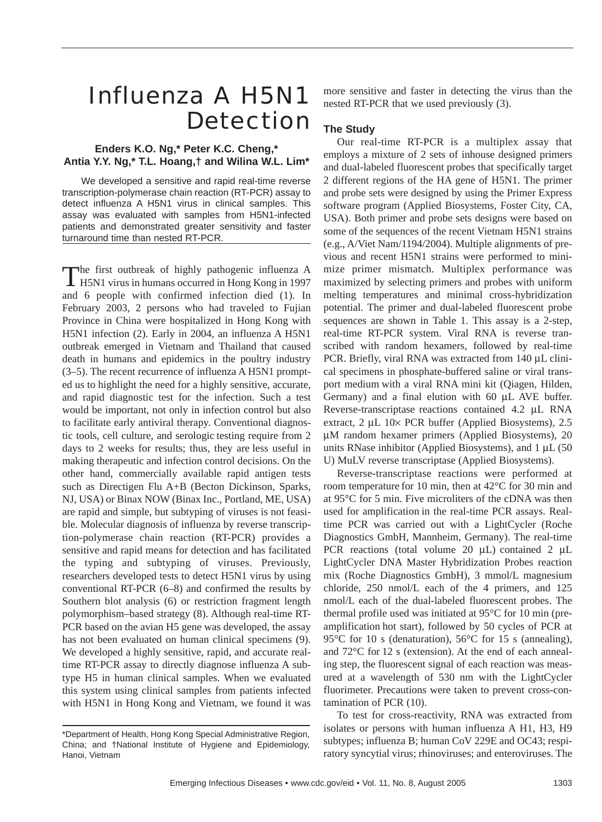# Influenza A H5N1 **Detection**

## **Enders K.O. Ng,\* Peter K.C. Cheng,\* Antia Y.Y. Ng,\* T.L. Hoang,† and Wilina W.L. Lim\***

We developed a sensitive and rapid real-time reverse transcription-polymerase chain reaction (RT-PCR) assay to detect influenza A H5N1 virus in clinical samples. This assay was evaluated with samples from H5N1-infected patients and demonstrated greater sensitivity and faster turnaround time than nested RT-PCR.

The first outbreak of highly pathogenic influenza A **H5N1** virus in humans occurred in Hong Kong in 1997 and 6 people with confirmed infection died (1). In February 2003, 2 persons who had traveled to Fujian Province in China were hospitalized in Hong Kong with H5N1 infection (2). Early in 2004, an influenza A H5N1 outbreak emerged in Vietnam and Thailand that caused death in humans and epidemics in the poultry industry (3–5). The recent recurrence of influenza A H5N1 prompted us to highlight the need for a highly sensitive, accurate, and rapid diagnostic test for the infection. Such a test would be important, not only in infection control but also to facilitate early antiviral therapy. Conventional diagnostic tools, cell culture, and serologic testing require from 2 days to 2 weeks for results; thus, they are less useful in making therapeutic and infection control decisions. On the other hand, commercially available rapid antigen tests such as Directigen Flu A+B (Becton Dickinson, Sparks, NJ, USA) or Binax NOW (Binax Inc., Portland, ME, USA) are rapid and simple, but subtyping of viruses is not feasible. Molecular diagnosis of influenza by reverse transcription-polymerase chain reaction (RT-PCR) provides a sensitive and rapid means for detection and has facilitated the typing and subtyping of viruses. Previously, researchers developed tests to detect H5N1 virus by using conventional RT-PCR (6–8) and confirmed the results by Southern blot analysis (6) or restriction fragment length polymorphism–based strategy (8). Although real-time RT-PCR based on the avian H5 gene was developed, the assay has not been evaluated on human clinical specimens (9). We developed a highly sensitive, rapid, and accurate realtime RT-PCR assay to directly diagnose influenza A subtype H5 in human clinical samples. When we evaluated this system using clinical samples from patients infected with H5N1 in Hong Kong and Vietnam, we found it was

more sensitive and faster in detecting the virus than the nested RT-PCR that we used previously (3).

# **The Study**

Our real-time RT-PCR is a multiplex assay that employs a mixture of 2 sets of inhouse designed primers and dual-labeled fluorescent probes that specifically target 2 different regions of the HA gene of H5N1. The primer and probe sets were designed by using the Primer Express software program (Applied Biosystems, Foster City, CA, USA). Both primer and probe sets designs were based on some of the sequences of the recent Vietnam H5N1 strains (e.g., A/Viet Nam/1194/2004). Multiple alignments of previous and recent H5N1 strains were performed to minimize primer mismatch. Multiplex performance was maximized by selecting primers and probes with uniform melting temperatures and minimal cross-hybridization potential. The primer and dual-labeled fluorescent probe sequences are shown in Table 1. This assay is a 2-step, real-time RT-PCR system. Viral RNA is reverse transcribed with random hexamers, followed by real-time PCR. Briefly, viral RNA was extracted from 140 µL clinical specimens in phosphate-buffered saline or viral transport medium with a viral RNA mini kit (Qiagen, Hilden, Germany) and a final elution with 60 µL AVE buffer. Reverse-transcriptase reactions contained 4.2 µL RNA extract, 2 µL 10× PCR buffer (Applied Biosystems), 2.5 µM random hexamer primers (Applied Biosystems), 20 units RNase inhibitor (Applied Biosystems), and  $1 \mu L$  (50 U) MuLV reverse transcriptase (Applied Biosystems).

Reverse-transcriptase reactions were performed at room temperature for 10 min, then at 42°C for 30 min and at 95°C for 5 min. Five microliters of the cDNA was then used for amplification in the real-time PCR assays. Realtime PCR was carried out with a LightCycler (Roche Diagnostics GmbH, Mannheim, Germany). The real-time PCR reactions (total volume 20  $\mu$ L) contained 2  $\mu$ L LightCycler DNA Master Hybridization Probes reaction mix (Roche Diagnostics GmbH), 3 mmol/L magnesium chloride, 250 nmol/L each of the 4 primers, and 125 nmol/L each of the dual-labeled fluorescent probes. The thermal profile used was initiated at 95°C for 10 min (preamplification hot start), followed by 50 cycles of PCR at 95°C for 10 s (denaturation), 56°C for 15 s (annealing), and 72°C for 12 s (extension). At the end of each annealing step, the fluorescent signal of each reaction was measured at a wavelength of 530 nm with the LightCycler fluorimeter. Precautions were taken to prevent cross-contamination of PCR (10).

To test for cross-reactivity, RNA was extracted from isolates or persons with human influenza A H1, H3, H9 subtypes; influenza B; human CoV 229E and OC43; respiratory syncytial virus; rhinoviruses; and enteroviruses. The

<sup>\*</sup>Department of Health, Hong Kong Special Administrative Region, China; and †National Institute of Hygiene and Epidemiology, Hanoi, Vietnam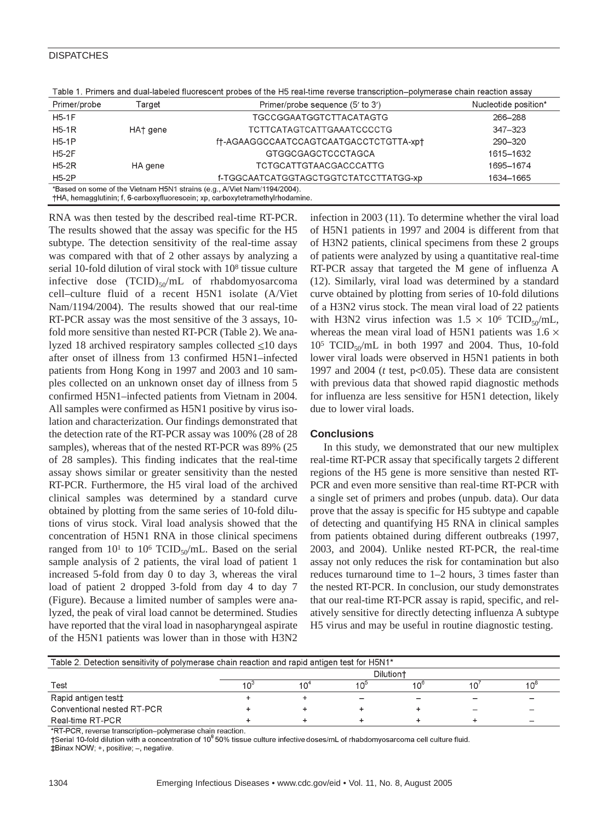## **DISPATCHES**

| Table 1. Primers and dual-labeled hubiescent probes of the HSTeal-time reverse transcription–polymerase chain reaction assay                              |          |                                        |                      |  |  |  |  |
|-----------------------------------------------------------------------------------------------------------------------------------------------------------|----------|----------------------------------------|----------------------|--|--|--|--|
| Primer/probe                                                                                                                                              | Target   | Primer/probe sequence (5' to 3')       | Nucleotide position* |  |  |  |  |
| <b>H5-1F</b>                                                                                                                                              |          | <b>TGCCGGAATGGTCTTACATAGTG</b>         | 266-288              |  |  |  |  |
| $H5-1R$                                                                                                                                                   | HA† gene | TCTTCATAGTCATTGAAATCCCCTG              | $347 - 323$          |  |  |  |  |
| $H5-1P$                                                                                                                                                   |          | ft-AGAAGGCCAATCCAGTCAATGACCTCTGTTA-xpt | 290-320              |  |  |  |  |
| $H5-2F$                                                                                                                                                   |          | GTGGCGAGCTCCCTAGCA                     | 1615-1632            |  |  |  |  |
| $H5-2R$                                                                                                                                                   | HA gene  | TCTGCATTGTAACGACCCATTG                 | 1695-1674            |  |  |  |  |
| $H5-2P$                                                                                                                                                   |          | f-TGGCAATCATGGTAGCTGGTCTATCCTTATGG-xp  | 1634-1665            |  |  |  |  |
| *Based on some of the Vietnam H5N1 strains (e.g., A/Viet Nam/1194/2004).<br>†HA, hemagglutinin; f, 6-carboxyfluorescein; xp, carboxytetramethylrhodamine. |          |                                        |                      |  |  |  |  |

Table 4. Drimars and dual labeled fluerescent probes of the UE real time reverse transmission, polymerace shain reading a

RNA was then tested by the described real-time RT-PCR. The results showed that the assay was specific for the H5 subtype. The detection sensitivity of the real-time assay was compared with that of 2 other assays by analyzing a serial 10-fold dilution of viral stock with 108 tissue culture infective dose  $(TCID)_{50}/mL$  of rhabdomyosarcoma cell–culture fluid of a recent H5N1 isolate (A/Viet Nam/1194/2004). The results showed that our real-time RT-PCR assay was the most sensitive of the 3 assays, 10 fold more sensitive than nested RT-PCR (Table 2). We analyzed 18 archived respiratory samples collected  $\leq$ 10 days after onset of illness from 13 confirmed H5N1–infected patients from Hong Kong in 1997 and 2003 and 10 samples collected on an unknown onset day of illness from 5 confirmed H5N1–infected patients from Vietnam in 2004. All samples were confirmed as H5N1 positive by virus isolation and characterization. Our findings demonstrated that the detection rate of the RT-PCR assay was 100% (28 of 28 samples), whereas that of the nested RT-PCR was 89% (25 of 28 samples). This finding indicates that the real-time assay shows similar or greater sensitivity than the nested RT-PCR. Furthermore, the H5 viral load of the archived clinical samples was determined by a standard curve obtained by plotting from the same series of 10-fold dilutions of virus stock. Viral load analysis showed that the concentration of H5N1 RNA in those clinical specimens ranged from  $10^1$  to  $10^6$  TCID<sub>50</sub>/mL. Based on the serial sample analysis of 2 patients, the viral load of patient 1 increased 5-fold from day 0 to day 3, whereas the viral load of patient 2 dropped 3-fold from day 4 to day 7 (Figure). Because a limited number of samples were analyzed, the peak of viral load cannot be determined. Studies have reported that the viral load in nasopharyngeal aspirate of the H5N1 patients was lower than in those with H3N2

infection in 2003 (11). To determine whether the viral load of H5N1 patients in 1997 and 2004 is different from that of H3N2 patients, clinical specimens from these 2 groups of patients were analyzed by using a quantitative real-time RT-PCR assay that targeted the M gene of influenza A (12). Similarly, viral load was determined by a standard curve obtained by plotting from series of 10-fold dilutions of a H3N2 virus stock. The mean viral load of 22 patients with H3N2 virus infection was  $1.5 \times 10^6$  TCID<sub>50</sub>/mL, whereas the mean viral load of H5N1 patients was  $1.6 \times$  $10^5$  TCID<sub>50</sub>/mL in both 1997 and 2004. Thus, 10-fold lower viral loads were observed in H5N1 patients in both 1997 and 2004 (*t* test, p<0.05). These data are consistent with previous data that showed rapid diagnostic methods for influenza are less sensitive for H5N1 detection, likely due to lower viral loads.

## **Conclusions**

In this study, we demonstrated that our new multiplex real-time RT-PCR assay that specifically targets 2 different regions of the H5 gene is more sensitive than nested RT-PCR and even more sensitive than real-time RT-PCR with a single set of primers and probes (unpub. data). Our data prove that the assay is specific for H5 subtype and capable of detecting and quantifying H5 RNA in clinical samples from patients obtained during different outbreaks (1997, 2003, and 2004). Unlike nested RT-PCR, the real-time assay not only reduces the risk for contamination but also reduces turnaround time to 1–2 hours, 3 times faster than the nested RT-PCR. In conclusion, our study demonstrates that our real-time RT-PCR assay is rapid, specific, and relatively sensitive for directly detecting influenza A subtype H5 virus and may be useful in routine diagnostic testing.

| Table 2. Detection sensitivity of polymerase chain reaction and rapid antigen test for H5N1* |                       |  |     |               |   |    |  |  |
|----------------------------------------------------------------------------------------------|-----------------------|--|-----|---------------|---|----|--|--|
|                                                                                              | Dilution <sup>+</sup> |  |     |               |   |    |  |  |
| Test                                                                                         |                       |  | "∩1 | 10 $^{\circ}$ |   | 10 |  |  |
| Rapid antigen test‡                                                                          |                       |  |     |               |   |    |  |  |
| Conventional nested RT-PCR                                                                   |                       |  |     |               | - |    |  |  |
| Real-time RT-PCR                                                                             |                       |  |     |               |   |    |  |  |

\*RT-PCR, reverse transcription-polymerase chain reaction.

†Serial 10-fold dilution with a concentration of 10<sup>8</sup> 50% tissue culture infective doses/mL of rhabdomyosarcoma cell culture fluid. #Binax NOW; +, positive; -, negative.